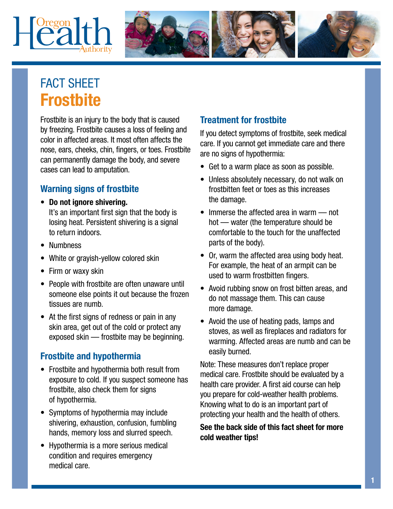# $|{\rm \mathcal{C}alth}$



# FACT SHEET **Frostbite**

Frostbite is an injury to the body that is caused by freezing. Frostbite causes a loss of feeling and color in affected areas. It most often affects the nose, ears, cheeks, chin, fingers, or toes. Frostbite can permanently damage the body, and severe cases can lead to amputation.

# Warning signs of frostbite

- Do not ignore shivering. It's an important first sign that the body is losing heat. Persistent shivering is a signal
- Numbness
- White or grayish-yellow colored skin
- Firm or waxy skin

to return indoors.

- People with frostbite are often unaware until someone else points it out because the frozen tissues are numb.
- At the first signs of redness or pain in any skin area, get out of the cold or protect any exposed skin — frostbite may be beginning.

### Frostbite and hypothermia

- Frostbite and hypothermia both result from exposure to cold. If you suspect someone has frostbite, also check them for signs of hypothermia.
- Symptoms of hypothermia may include shivering, exhaustion, confusion, fumbling hands, memory loss and slurred speech.
- Hypothermia is a more serious medical condition and requires emergency medical care.

# Treatment for frostbite

If you detect symptoms of frostbite, seek medical care. If you cannot get immediate care and there are no signs of hypothermia:

- Get to a warm place as soon as possible.
- Unless absolutely necessary, do not walk on frostbitten feet or toes as this increases the damage.
- Immerse the affected area in warm not hot — water (the temperature should be comfortable to the touch for the unaffected parts of the body).
- Or, warm the affected area using body heat. For example, the heat of an armpit can be used to warm frostbitten fingers.
- Avoid rubbing snow on frost bitten areas, and do not massage them. This can cause more damage.
- Avoid the use of heating pads, lamps and stoves, as well as fireplaces and radiators for warming. Affected areas are numb and can be easily burned.

Note: These measures don't replace proper medical care. Frostbite should be evaluated by a health care provider. A first aid course can help you prepare for cold-weather health problems. Knowing what to do is an important part of protecting your health and the health of others.

#### See the back side of this fact sheet for more cold weather tips!